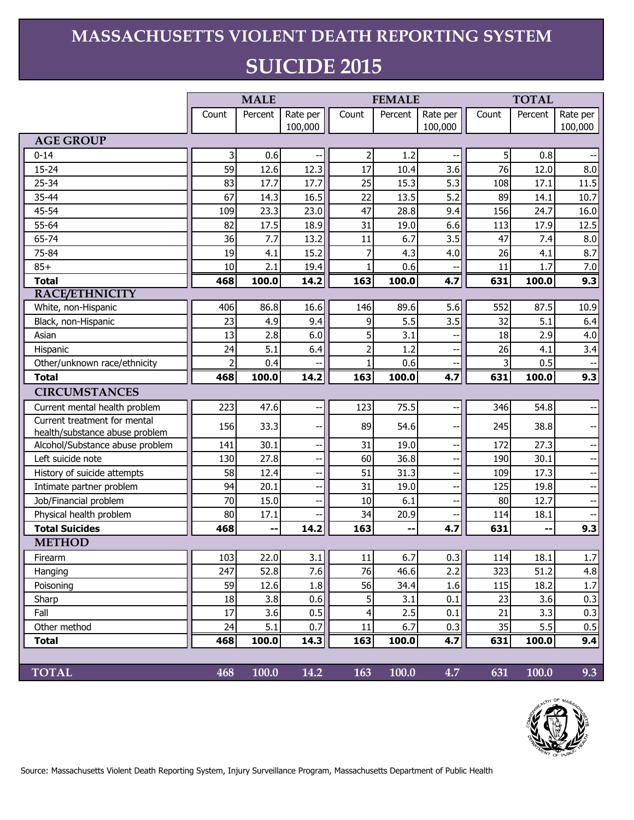## **MASSACHUSETTS VIOLENT DEATH REPORTING SYSTEM SUICIDE 2015**

|                                                                | <b>MALE</b>    |         |                          | <b>FEMALE</b>  |         |          | <b>TOTAL</b>   |         |          |
|----------------------------------------------------------------|----------------|---------|--------------------------|----------------|---------|----------|----------------|---------|----------|
|                                                                | Count          | Percent | Rate per                 | Count          | Percent | Rate per | Count          | Percent | Rate per |
|                                                                |                |         | 100,000                  |                |         | 100,000  |                |         | 100,000  |
| <b>AGE GROUP</b>                                               |                |         |                          |                |         |          |                |         |          |
| $0 - 14$                                                       | 3              | 0.6     |                          | $\overline{c}$ | 1.2     |          | 5 <sup>1</sup> | 0.8     |          |
| $15 - 24$                                                      | 59             | 12.6    | 12.3                     | 17             | 10.4    | 3.6      | 76             | 12.0    | 8.0      |
| 25-34                                                          | 83             | 17.7    | 17.7                     | 25             | 15.3    | 5.3      | 108            | 17.1    | 11.5     |
| 35-44                                                          | 67             | 14.3    | 16.5                     | 22             | 13.5    | 5.2      | 89             | 14.1    | 10.7     |
| 45-54                                                          | 109            | 23.3    | 23.0                     | 47             | 28.8    | 9.4      | 156            | 24.7    | 16.0     |
| 55-64                                                          | 82             | 17.5    | 18.9                     | 31             | 19.0    | 6.6      | 113            | 17.9    | 12.5     |
| 65-74                                                          | 36             | 7.7     | 13.2                     | 11             | 6.7     | 3.5      | 47             | 7.4     | 8.0      |
| 75-84                                                          | 19             | 4.1     | 15.2                     | 7              | 4.3     | 4.0      | 26             | 4.1     | 8.7      |
| $85+$                                                          | 10             | 2.1     | 19.4                     | $\mathbf{1}$   | 0.6     |          | 11             | 1.7     | 7.0      |
| <b>Total</b>                                                   | 468            | 100.0   | 14.2                     | 163            | 100.0   | 4.7      | 631            | 100.0   | 9.3      |
| <b>RACE/ETHNICITY</b>                                          |                |         |                          |                |         |          |                |         |          |
| White, non-Hispanic                                            | 406            | 86.8    | 16.6                     | 146            | 89.6    | 5.6      | 552            | 87.5    | 10.9     |
| Black, non-Hispanic                                            | 23             | 4.9     | 9.4                      | 9              | 5.5     | 3.5      | 32             | 5.1     | 6.4      |
| Asian                                                          | 13             | 2.8     | 6.0                      | 5              | 3.1     |          | 18             | 2.9     | 4.0      |
| Hispanic                                                       | 24             | 5.1     | 6.4                      | $\overline{c}$ | 1.2     |          | 26             | 4.1     | 3.4      |
| Other/unknown race/ethnicity                                   | $\overline{2}$ | 0.4     |                          | $\mathbf{1}$   | 0.6     |          | 3              | 0.5     |          |
| <b>Total</b>                                                   | 468            | 100.0   | 14.2                     | 163            | 100.0   | 4.7      | 631            | 100.0   | 9.3      |
| <b>CIRCUMSTANCES</b>                                           |                |         |                          |                |         |          |                |         |          |
| Current mental health problem                                  | 223            | 47.6    |                          | 123            | 75.5    |          | 346            | 54.8    |          |
| Current treatment for mental<br>health/substance abuse problem | 156            | 33.3    | $\overline{\phantom{a}}$ | 89             | 54.6    |          | 245            | 38.8    |          |
| Alcohol/Substance abuse problem                                | 141            | 30.1    | н,                       | 31             | 19.0    | Ξ.       | 172            | 27.3    |          |
| Left suicide note                                              | 130            | 27.8    |                          | 60             | 36.8    |          | 190            | 30.1    |          |
| History of suicide attempts                                    | 58             | 12.4    | --                       | 51             | 31.3    |          | 109            | 17.3    |          |
| Intimate partner problem                                       | 94             | 20.1    | $\overline{a}$           | 31             | 19.0    |          | 125            | 19.8    |          |
| Job/Financial problem                                          | 70             | 15.0    |                          | 10             | 6.1     |          | 80             | 12.7    |          |
| Physical health problem                                        | 80             | 17.1    |                          | 34             | 20.9    |          | 114            | 18.1    |          |
| <b>Total Suicides</b>                                          | 468            | ۰.      | 14.2                     | 163            |         | 4.7      | 631            |         | 9.3      |
| <b>METHOD</b>                                                  |                |         |                          |                |         |          |                |         |          |
| Firearm                                                        | 103            | 22.0    | 3.1                      | 11             | 6.7     | 0.3      | 114            | 18.1    | 1.7      |
| Hanging                                                        | 247            | 52.8    | 7.6                      | 76             | 46.6    | 2.2      | 323            | 51.2    | 4.8      |
| Poisoning                                                      | 59             | 12.6    | 1.8                      | 56             | 34.4    | 1.6      | 115            | 18.2    | 1.7      |
| Sharp                                                          | 18             | 3.8     | 0.6                      | 5              | 3.1     | 0.1      | 23             | 3.6     | 0.3      |
| Fall                                                           | 17             | 3.6     | 0.5                      | 4              | 2.5     | 0.1      | 21             | 3.3     | 0.3      |
| Other method                                                   | 24             | 5.1     | 0.7                      | 11             | 6.7     | 0.3      | 35             | 5.5     | 0.5      |
| <b>Total</b>                                                   | 468            | 100.0   | 14.3                     | 163            | 100.0   | 4.7      | 631            | 100.0   | 9.4      |
|                                                                |                |         |                          |                |         |          |                |         |          |
| <b>TOTAL</b>                                                   | 468            | 100.0   | 14.2                     | 163            | 100.0   | 4.7      | 631            | 100.0   | 9.3      |